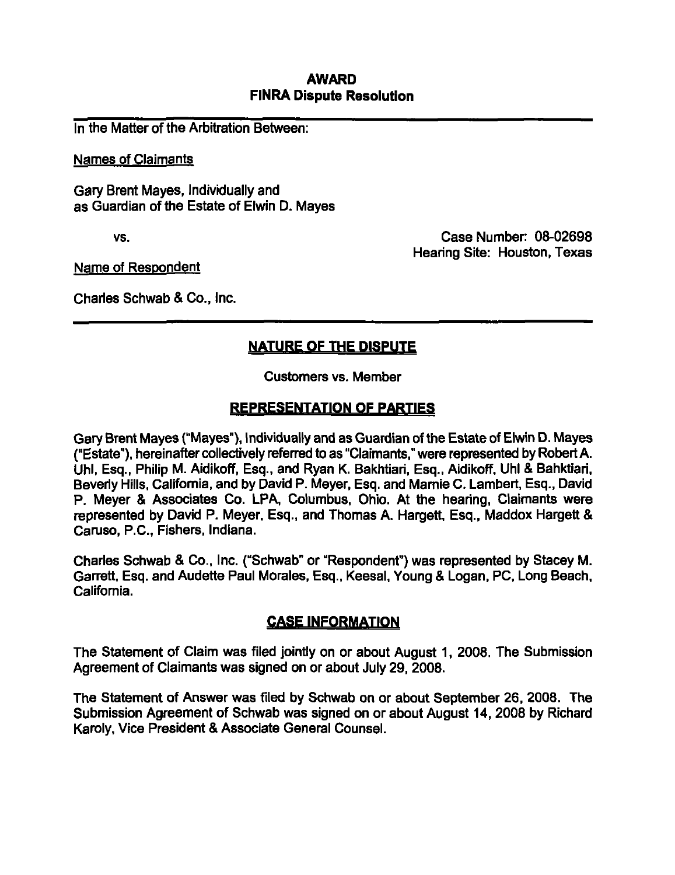#### AWARD FINRA Dispute Resolution

In the Matter of the Arbitration Between:

Names of Claimants

Gary Brent Mayes, Individually and as Guardian of the Estate of Elwin D. Mayes

vs. Case Number: 08-02698 Hearing Site: Houston, Texas

Name of Respondent

Charles Schwab & Co., Inc.

# NATURE OF THE DISPUTE

Customers vs. Member

## REPRESENTATION OF PARTIES

Gary Brent Mayes ("Mayes"), Individually and as Guardian of the Estate of Elwin D. Mayes ("Estate"), hereinafter collectively refen^d to as "Claimants." were represented by Robert A. Uhl, Esq., Philip M. Aidikoff, Esq., and Ryan K. Bakhtiari, Esq., Aidikoff. Uhl & Bahktiari. Beveriy Hills. Califomla, and by David P. Meyer, Esq. and Mamie C. Lambert, Esq., David P. Meyer & Associates Co. LPA, Columbus, Ohio. At the hearing. Claimants were represented by David P. Meyer, Esq., and Thomas A. Hargett. Esq., Maddox Hargett & Caruso, P.C., Fishers, Indiana.

Charies Schwab & Co.. Inc. ("Schwab" or "Respondent") was represented by Stacey M. Garrett, Esq. and Audette Paul Morales, Esq.. Keesal, Young & Logan, PC, Long Beach, California.

### CASE INFORMATION

The Statement of Claim was filed jointly on or about August 1, 2008. The Submission Agreement of Claimants was signed on or about July 29, 2008.

The Statement of Answer was filed by Schwab on or about September 26, 2008. The Submission Agreement of Schwab was signed on or about August 14, 2008 by Richard Karoly, Vice President & Associate General Counsel.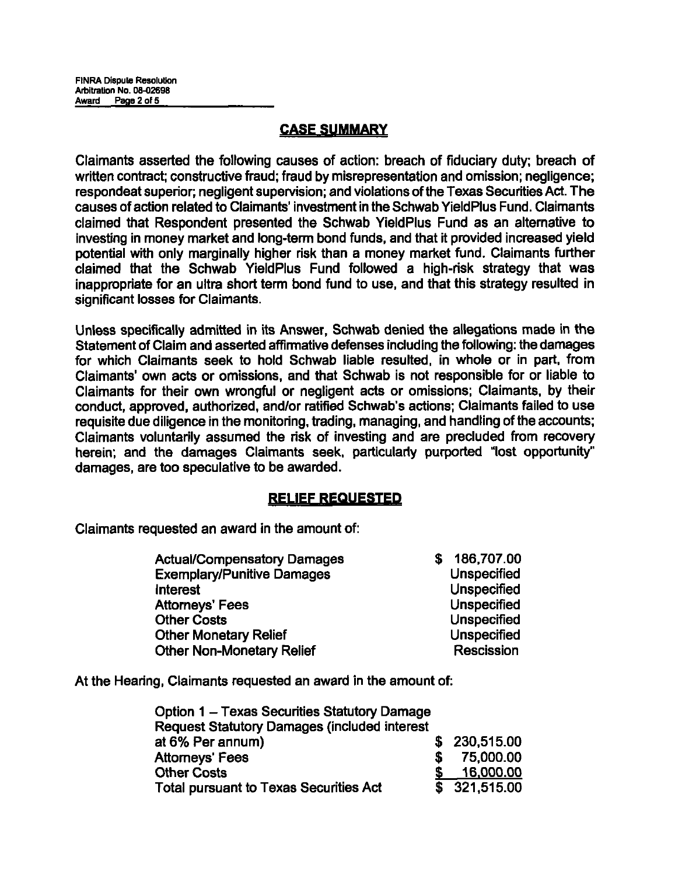## CASE SUMMARY

Claimants asserted the following causes of action: breach of fiduciary duty; breach of written contract; constructive fraud; fraud by misrepresentation and omission; negligence; respondeat superior; negligent supervision; and violations of the Texas Securities Act. The causes of action related to Claimants' Investment in the Schwab YieldPlus Fund. Claimants claimed that Respondent presented the Schwab YieldPlus Fund as an alternative to Investing in money market and long-term bond funds, and that it provided Increased yield potential with only marginally higher risk than a money market fund. Claimants further claimed that the Schwab YieldPlus Fund followed a high-risk strategy that was inappropriate for an ultra short term bond fund to use, and that this strategy resulted in significant losses for Claimants.

Unless specifically admitted in its Answer, Schwab denied the allegations made in the Statement of Claim and asserted affirmative defenses including the following: the damages for which Claimants seek to hold Schwab liable resulted, in whole or in part, from Claimants' own acts or omissions, and that Schwab is not responsible for or liable to Claimants for their own wrongful or negligent acts or omissions; Claimants, by their conduct, approved, authorized, and/or ratified Schwab's actions; Claimants failed to use requisite due diligence in the monitoring, trading, managing, and handling of the accounts; Claimants voluntarily assumed the risk of investing and are precluded from recovery herein; and the damages Claimants seek, particulariy purported "lost opportunity" damages, are too speculative to be awarded.

### **RELIEF REQUESTED**

Claimants requested an award in the amount of:

| Actual/Compensatory Damages       | 186,707.00         |
|-----------------------------------|--------------------|
| <b>Exemplary/Punitive Damages</b> | <b>Unspecified</b> |
| Interest                          | Unspecified        |
| <b>Attorneys' Fees</b>            | Unspecified        |
| <b>Other Costs</b>                | Unspecified        |
| <b>Other Monetary Relief</b>      | Unspecified        |
| <b>Other Non-Monetary Relief</b>  | <b>Rescission</b>  |

At the Hearing, Claimants requested an award in the amount of:

| <b>Option 1 - Texas Securities Statutory Damage</b>  |              |
|------------------------------------------------------|--------------|
| <b>Request Statutory Damages (included interest)</b> |              |
| at 6% Per annum)                                     | \$230,515.00 |
| <b>Attorneys' Fees</b>                               | 75,000.00    |
| <b>Other Costs</b>                                   | 16,000.00    |
| <b>Total pursuant to Texas Securities Act</b>        | \$321,515.00 |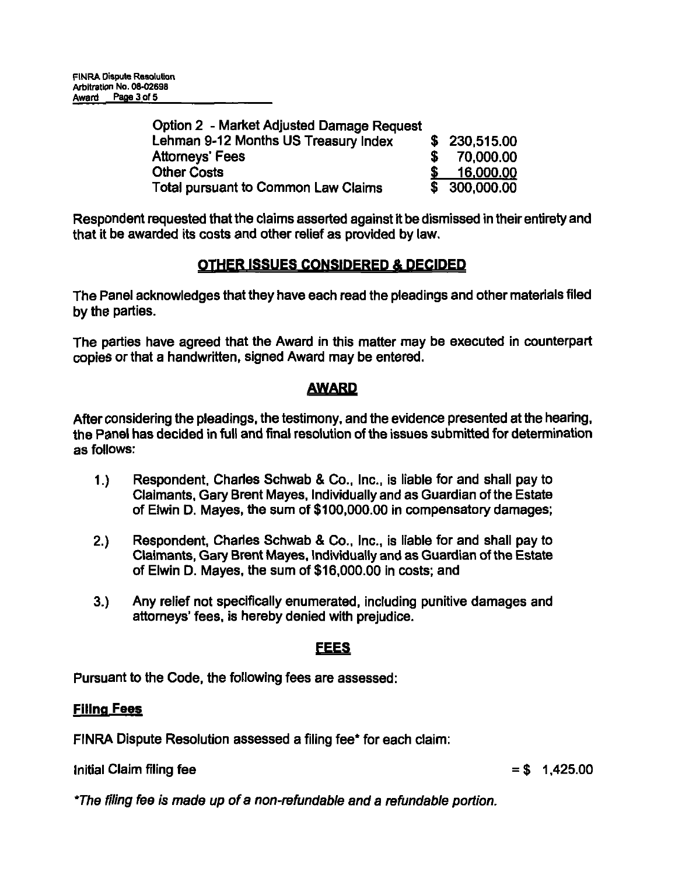| Option 2 - Market Adjusted Damage Request |               |
|-------------------------------------------|---------------|
| Lehman 9-12 Months US Treasury Index      | \$ 230,515,00 |
| <b>Attorneys' Fees</b>                    | 70.000.00     |
| <b>Other Costs</b>                        | 16,000,00     |
| Total pursuant to Common Law Claims       | \$ 300,000.00 |

Respondent requested that the claims asserted against it be dismissed in their entirety and that it be awarded its costs and other relief as provided by law.

### OTHER ISSUES CONSIDERED A DECIDED

The Panel acknowledges that they have each read the pleadings and other materials filed by the parties.

The parties have agreed that the Award in this matter may be executed in counterpart copies or that a handwritten, signed Award may be entered.

## AWARD

After considering the pleadings, the testimony, and the evidence presented at the hearing, the Panel has decided in full and final resolution of the issues submitted for determination as follows:

- 1.) Respondent, Charies Schwab & Co., Inc., is liable for and shall pay to Claimants, Gary Brent Mayes, Individually and as Guardian of the Estate of Elwin D. Mayes, the sum of \$100,000.00 in compensatory damages;
- 2.) Respondent, Charies Schwab & Co., Inc., is liable for and shall pay to Claimants, Gary Brent Mayes, Individually and as Guardian of the Estate of Elwin D. Mayes, the sum of \$16,000.00 In costs; and
- 3.) Any relief not specifically enumerated, including punitive damages and attorneys' fees, is hereby denied with prejudice.

### **FEES**

Pursuant to the Code, the following fees are assessed:

### **Filing Fees**

FINRA Dispute Resolution assessed a filing fee\* for each claim:

Initial Claim filing fee  $= $ 1,425.00$ 

\*The filing fee is made up of a non-refundable and a refundable portion.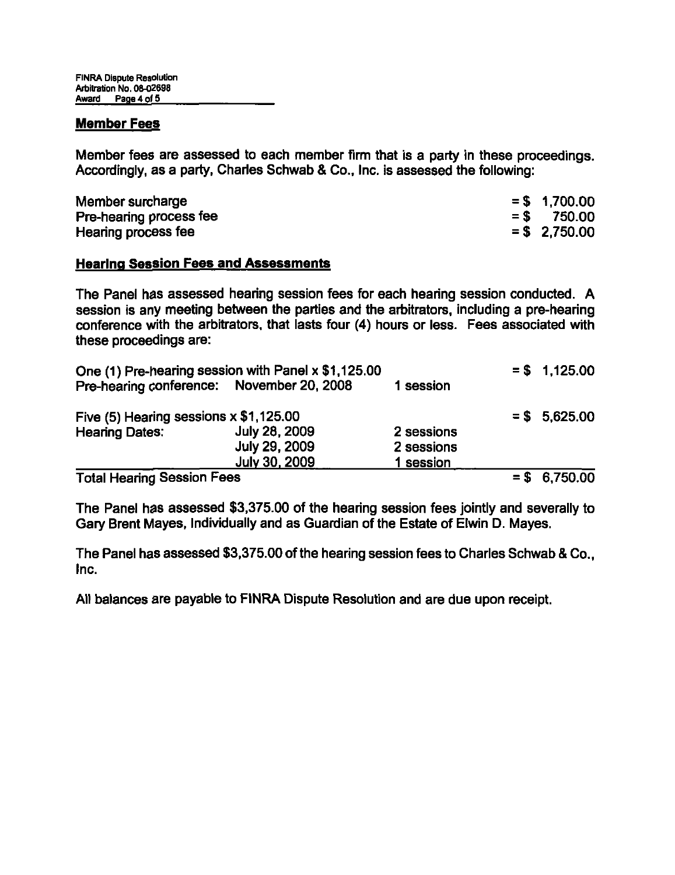#### Member Fees

Member fees are assessed to each member firm that is a party in these proceedings. Accordingly, as a party, Charies Schwab & Co., Inc. is assessed the following:

| Member surcharge        | $= $ 1,700.00$  |
|-------------------------|-----------------|
| Pre-hearing process fee | $=$ \$ 750.00   |
| Hearing process fee     | $=$ \$ 2,750.00 |

#### Hearing Session Fees and Assessments

The Panel has assessed hearing session fees for each hearing session conducted. A session is any meeting between the parties and the arbitrators, including a pre-hearing conference with the arbitrators, that lasts four (4) hours or less. Fees associated with these proceedings are:

|                                           | One (1) Pre-hearing session with Panel x \$1,125.00 |            | $= $1,125.00$ |
|-------------------------------------------|-----------------------------------------------------|------------|---------------|
| Pre-hearing conference: November 20, 2008 |                                                     | 1 session  |               |
| Five (5) Hearing sessions x \$1,125.00    |                                                     |            | $= $5,625.00$ |
| <b>Hearing Dates:</b>                     | <b>July 28, 2009</b>                                | 2 sessions |               |
|                                           | <b>July 29, 2009</b>                                | 2 sessions |               |
| <b>July 30, 2009</b>                      |                                                     | 1 session  |               |
| <b>Total Hearing Session Fees</b>         |                                                     |            | $= $6,750.00$ |

The Panel has assessed \$3,375.00 of the hearing session fees jointly and severally to Gary Brent Mayes, Individually and as Guardian of the Estate of Elwin D. Mayes.

The Panel has assessed \$3,375.00 of the hearing session fees to Charies Schwab & Co., Inc.

All balances are payable to FINRA Dispute Resolution and are due upon receipt.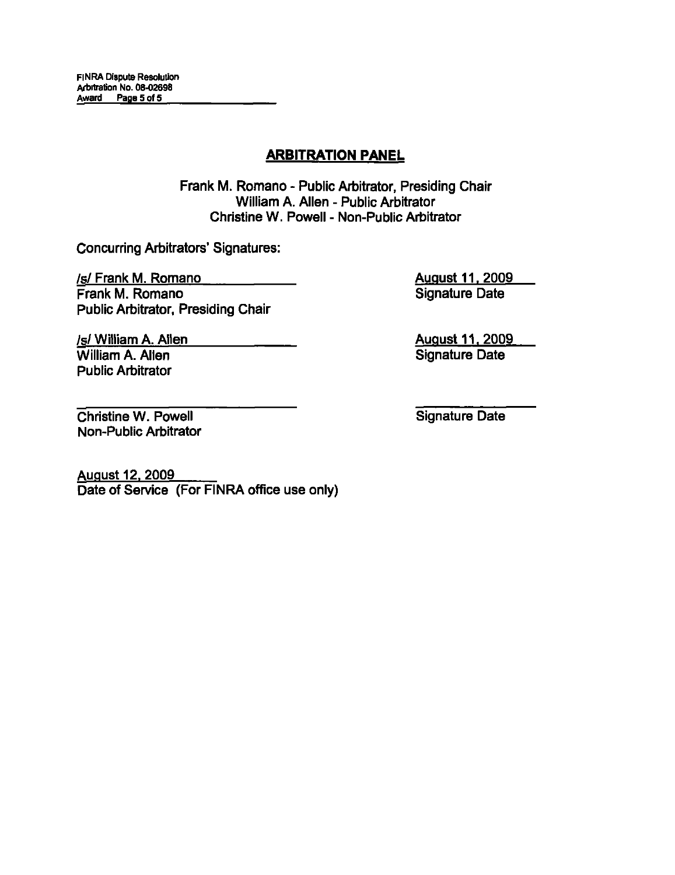## ARBITRATION PANEL

Frank M. Romano - Public Arbitrator, Presiding Chair William A. Allen - Public Arbitrator Christine W. Powell - Non-Public Arbitrator

Concurring Arbitrators' Signatures:

/s/ Frank M. Romano Frank M. Romano Public Arbitrator, Presiding Chair August 11. 2009 Signature Date

August 11, 2009 Signature Date

Christine W. Powell Non-Public Arbitrator

/s/ William A. Allen William A. Allen Public Arbitrator

Signature Date

August 12, 2009 Date of Service (For FINRA office use only)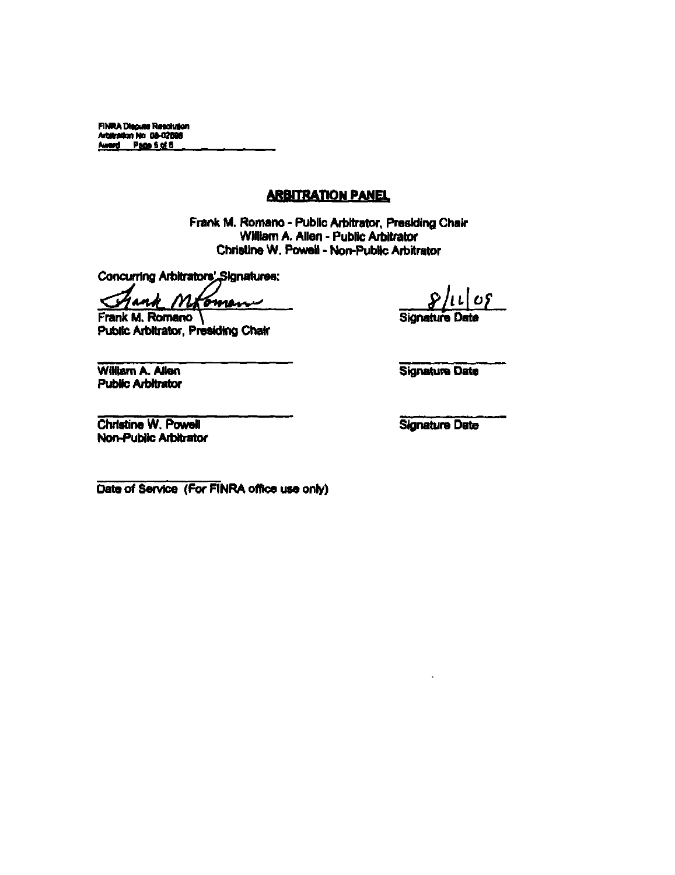FINRA Diaguse Resolution<br>Arbitration No. 08-02596<br>Award - Page 5 of 5

#### **ARBITRATION PANEL**

Frank M. Romano - Public Arbitrator, Presiding Chair William A. Allen - Public Arbitrator Christine W. Powell - Non-Public Arbitrator

Concurring Arbitrators' Signatures:

M 4 andr oman ぐり

Frank M. Romano Public Arbitrator, Presiding Chair

William A. Allen **Public Arbitrator**  **Signature** 

Ll OS

**Signature Date** 

Christine W. Powell Non-Public Arbitrator

**Signature Date** 

Date of Service (For FINRA office use only)